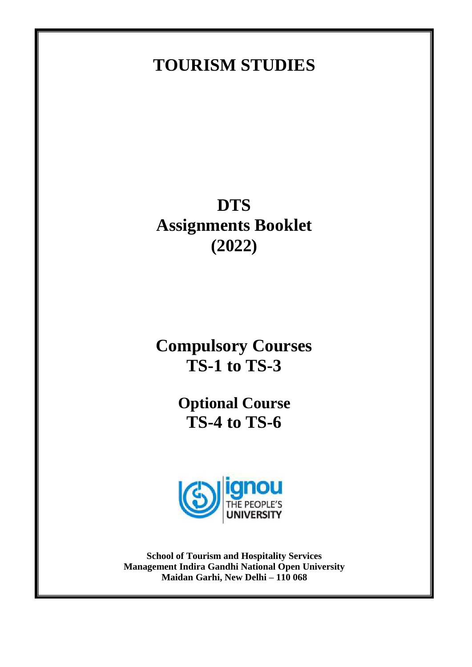# **TOURISM STUDIES**

# **DTS Assignments Booklet (2022)**

**Compulsory Courses TS-1 to TS-3**

> **Optional Course TS-4 to TS-6**



**School of Tourism and Hospitality Services Management Indira Gandhi National Open University Maidan Garhi, New Delhi – 110 068**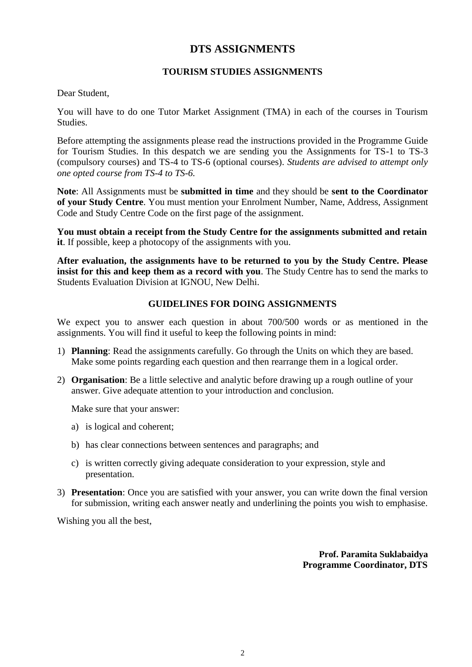## **DTS ASSIGNMENTS**

#### **TOURISM STUDIES ASSIGNMENTS**

Dear Student,

You will have to do one Tutor Market Assignment (TMA) in each of the courses in Tourism **Studies** 

Before attempting the assignments please read the instructions provided in the Programme Guide for Tourism Studies. In this despatch we are sending you the Assignments for TS-1 to TS-3 (compulsory courses) and TS-4 to TS-6 (optional courses). *Students are advised to attempt only one opted course from TS-4 to TS-6.*

**Note**: All Assignments must be **submitted in time** and they should be **sent to the Coordinator of your Study Centre**. You must mention your Enrolment Number, Name, Address, Assignment Code and Study Centre Code on the first page of the assignment.

**You must obtain a receipt from the Study Centre for the assignments submitted and retain it**. If possible, keep a photocopy of the assignments with you.

**After evaluation, the assignments have to be returned to you by the Study Centre. Please insist for this and keep them as a record with you**. The Study Centre has to send the marks to Students Evaluation Division at IGNOU, New Delhi.

#### **GUIDELINES FOR DOING ASSIGNMENTS**

We expect you to answer each question in about 700/500 words or as mentioned in the assignments. You will find it useful to keep the following points in mind:

- 1) **Planning**: Read the assignments carefully. Go through the Units on which they are based. Make some points regarding each question and then rearrange them in a logical order.
- 2) **Organisation**: Be a little selective and analytic before drawing up a rough outline of your answer. Give adequate attention to your introduction and conclusion.

Make sure that your answer:

- a) is logical and coherent;
- b) has clear connections between sentences and paragraphs; and
- c) is written correctly giving adequate consideration to your expression, style and presentation.
- 3) **Presentation**: Once you are satisfied with your answer, you can write down the final version for submission, writing each answer neatly and underlining the points you wish to emphasise.

Wishing you all the best,

**Prof. Paramita Suklabaidya Programme Coordinator, DTS**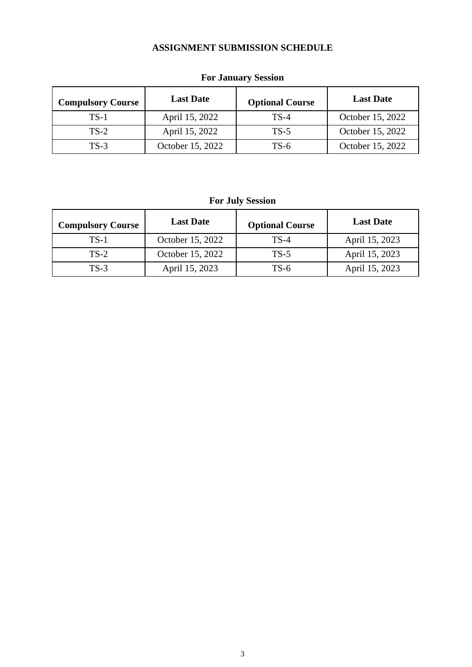### **ASSIGNMENT SUBMISSION SCHEDULE**

| <b>Compulsory Course</b> | <b>Last Date</b> | <b>Optional Course</b> | <b>Last Date</b> |
|--------------------------|------------------|------------------------|------------------|
| $TS-1$                   | April 15, 2022   | $TS-4$                 | October 15, 2022 |
| $TS-2$                   | April 15, 2022   | $TS-5$                 | October 15, 2022 |
| $TS-3$                   | October 15, 2022 | $TS-6$                 | October 15, 2022 |

# **For January Session**

# **For July Session**

| <b>Compulsory Course</b> | <b>Last Date</b> | <b>Optional Course</b> | <b>Last Date</b> |
|--------------------------|------------------|------------------------|------------------|
| $TS-1$                   | October 15, 2022 | $TS-4$                 | April 15, 2023   |
| $TS-2$                   | October 15, 2022 | $TS-5$                 | April 15, 2023   |
| $TS-3$                   | April 15, 2023   | TS-6                   | April 15, 2023   |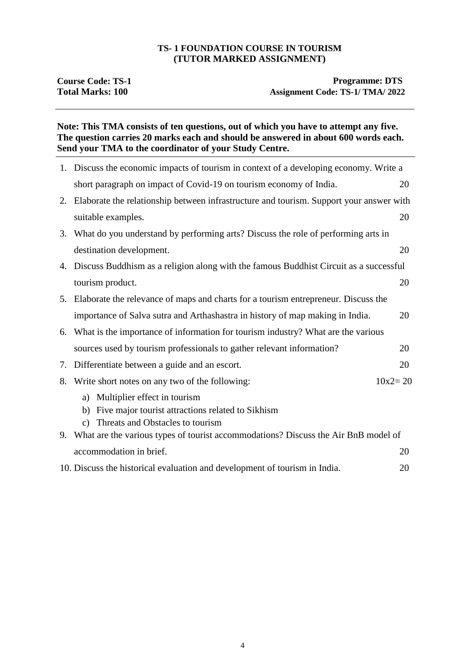#### **TS- 1 FOUNDATION COURSE IN TOURISM (TUTOR MARKED ASSIGNMENT)**

#### **Note: This TMA consists of ten questions, out of which you have to attempt any five. The question carries 20 marks each and should be answered in about 600 words each. Send your TMA to the coordinator of your Study Centre.**

|    | 1. Discuss the economic impacts of tourism in context of a developing economy. Write a                                                            |             |
|----|---------------------------------------------------------------------------------------------------------------------------------------------------|-------------|
|    | short paragraph on impact of Covid-19 on tourism economy of India.                                                                                | 20          |
|    | 2. Elaborate the relationship between infrastructure and tourism. Support your answer with                                                        |             |
|    | suitable examples.                                                                                                                                | 20          |
| 3. | What do you understand by performing arts? Discuss the role of performing arts in                                                                 |             |
|    | destination development.                                                                                                                          | 20          |
|    | 4. Discuss Buddhism as a religion along with the famous Buddhist Circuit as a successful                                                          |             |
|    | tourism product.                                                                                                                                  | 20          |
|    | 5. Elaborate the relevance of maps and charts for a tourism entrepreneur. Discuss the                                                             |             |
|    | importance of Salva sutra and Arthashastra in history of map making in India.                                                                     | 20          |
| 6. | What is the importance of information for tourism industry? What are the various                                                                  |             |
|    | sources used by tourism professionals to gather relevant information?                                                                             | 20          |
| 7. | Differentiate between a guide and an escort.                                                                                                      | 20          |
| 8. | Write short notes on any two of the following:                                                                                                    | $10x2 = 20$ |
|    | a) Multiplier effect in tourism<br>Five major tourist attractions related to Sikhism<br>b)<br>Threats and Obstacles to tourism<br>$\mathcal{C}$ ) |             |
|    | 9. What are the various types of tourist accommodations? Discuss the Air BnB model of                                                             |             |
|    | accommodation in brief.                                                                                                                           | 20          |
|    | 10. Discuss the historical evaluation and development of tourism in India.                                                                        | 20          |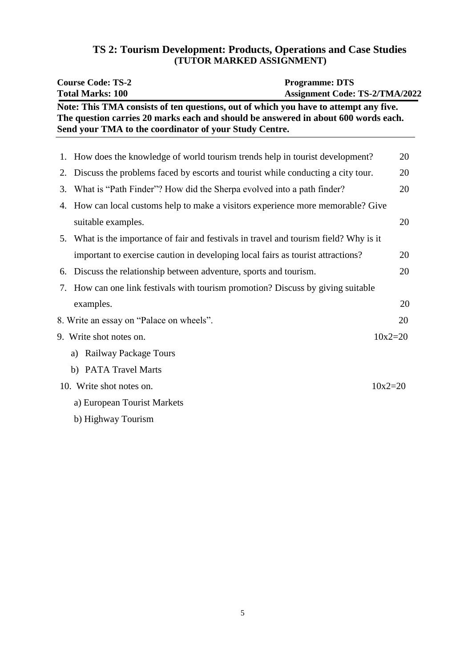| TS 2: Tourism Development: Products, Operations and Case Studies |  |
|------------------------------------------------------------------|--|
| (TUTOR MARKED ASSIGNMENT)                                        |  |

|    | <b>Course Code: TS-2</b><br><b>Total Marks: 100</b>                                                                                                                                                                                  | <b>Programme: DTS</b><br><b>Assignment Code: TS-2/TMA/2022</b> |             |
|----|--------------------------------------------------------------------------------------------------------------------------------------------------------------------------------------------------------------------------------------|----------------------------------------------------------------|-------------|
|    | Note: This TMA consists of ten questions, out of which you have to attempt any five.<br>The question carries 20 marks each and should be answered in about 600 words each.<br>Send your TMA to the coordinator of your Study Centre. |                                                                |             |
| 1. | How does the knowledge of world tourism trends help in tourist development?                                                                                                                                                          |                                                                | 20          |
| 2. | Discuss the problems faced by escorts and tourist while conducting a city tour.                                                                                                                                                      |                                                                | 20          |
| 3. | What is "Path Finder"? How did the Sherpa evolved into a path finder?                                                                                                                                                                |                                                                | 20          |
| 4. | How can local customs help to make a visitors experience more memorable? Give                                                                                                                                                        |                                                                |             |
|    | suitable examples.                                                                                                                                                                                                                   |                                                                | 20          |
| 5. | What is the importance of fair and festivals in travel and tourism field? Why is it                                                                                                                                                  |                                                                |             |
|    | important to exercise caution in developing local fairs as tourist attractions?                                                                                                                                                      |                                                                | 20          |
| 6. | Discuss the relationship between adventure, sports and tourism.                                                                                                                                                                      |                                                                | 20          |
| 7. | How can one link festivals with tourism promotion? Discuss by giving suitable                                                                                                                                                        |                                                                |             |
|    | examples.                                                                                                                                                                                                                            |                                                                | 20          |
|    | 8. Write an essay on "Palace on wheels".                                                                                                                                                                                             |                                                                | 20          |
|    | 9. Write shot notes on.                                                                                                                                                                                                              |                                                                | $10x2 = 20$ |
|    | Railway Package Tours<br>a)                                                                                                                                                                                                          |                                                                |             |
|    | b) PATA Travel Marts                                                                                                                                                                                                                 |                                                                |             |
|    | 10. Write shot notes on.                                                                                                                                                                                                             |                                                                | $10x2 = 20$ |
|    | a) European Tourist Markets                                                                                                                                                                                                          |                                                                |             |
|    | b) Highway Tourism                                                                                                                                                                                                                   |                                                                |             |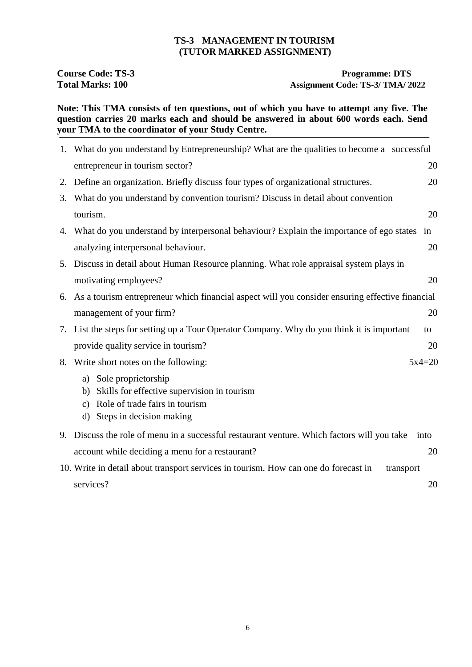#### **TS-3 MANAGEMENT IN TOURISM (TUTOR MARKED ASSIGNMENT)**

**Course Code: TS-3 Programme: DTS**<br> **Programme: DTS**<br> **Programme: DTS**<br> **Assignment Code: TS-3/ TMA/ 20** Assignment Code: TS-3/ TMA/ 2022

**Note: This TMA consists of ten questions, out of which you have to attempt any five. The question carries 20 marks each and should be answered in about 600 words each. Send your TMA to the coordinator of your Study Centre.**

|    | 1. What do you understand by Entrepreneurship? What are the qualities to become a successful       |          |
|----|----------------------------------------------------------------------------------------------------|----------|
|    | entrepreneur in tourism sector?                                                                    | 20       |
| 2. | Define an organization. Briefly discuss four types of organizational structures.                   | 20       |
| 3. | What do you understand by convention tourism? Discuss in detail about convention                   |          |
|    | tourism.                                                                                           | 20       |
|    | 4. What do you understand by interpersonal behaviour? Explain the importance of ego states         | in       |
|    | analyzing interpersonal behaviour.                                                                 | 20       |
|    | 5. Discuss in detail about Human Resource planning. What role appraisal system plays in            |          |
|    | motivating employees?                                                                              | 20       |
|    | 6. As a tourism entrepreneur which financial aspect will you consider ensuring effective financial |          |
|    | management of your firm?                                                                           | 20       |
|    | 7. List the steps for setting up a Tour Operator Company. Why do you think it is important         | to       |
|    | provide quality service in tourism?                                                                | 20       |
|    | 8. Write short notes on the following:                                                             | $5x4=20$ |
|    | a) Sole proprietorship                                                                             |          |
|    | Skills for effective supervision in tourism<br>b)                                                  |          |
|    | Role of trade fairs in tourism<br>c)                                                               |          |
|    | Steps in decision making<br>d)                                                                     |          |
|    | 9. Discuss the role of menu in a successful restaurant venture. Which factors will you take        | into     |
|    | account while deciding a menu for a restaurant?                                                    | 20       |
|    | 10. Write in detail about transport services in tourism. How can one do forecast in<br>transport   |          |
|    | services?                                                                                          | 20       |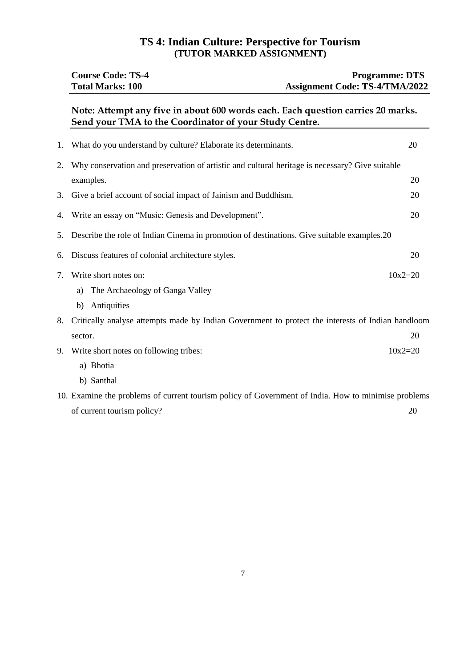## **TS 4: Indian Culture: Perspective for Tourism (TUTOR MARKED ASSIGNMENT)**

|    | <b>Course Code: TS-4</b><br><b>Total Marks: 100</b>                                                                                       | <b>Programme: DTS</b><br><b>Assignment Code: TS-4/TMA/2022</b> |
|----|-------------------------------------------------------------------------------------------------------------------------------------------|----------------------------------------------------------------|
|    | Note: Attempt any five in about 600 words each. Each question carries 20 marks.<br>Send your TMA to the Coordinator of your Study Centre. |                                                                |
| 1. | What do you understand by culture? Elaborate its determinants.                                                                            | 20                                                             |
| 2. | Why conservation and preservation of artistic and cultural heritage is necessary? Give suitable                                           |                                                                |
|    | examples.                                                                                                                                 | 20                                                             |
| 3. | Give a brief account of social impact of Jainism and Buddhism.                                                                            | 20                                                             |
| 4. | Write an essay on "Music: Genesis and Development".                                                                                       | 20                                                             |
| 5. | Describe the role of Indian Cinema in promotion of destinations. Give suitable examples.20                                                |                                                                |
| 6. | Discuss features of colonial architecture styles.                                                                                         | 20                                                             |
| 7. | Write short notes on:                                                                                                                     | $10x2 = 20$                                                    |
|    | The Archaeology of Ganga Valley<br>a)                                                                                                     |                                                                |
|    | b) Antiquities                                                                                                                            |                                                                |
| 8. | Critically analyse attempts made by Indian Government to protect the interests of Indian handloom                                         |                                                                |
|    | sector.                                                                                                                                   | 20                                                             |
| 9. | Write short notes on following tribes:                                                                                                    | $10x2 = 20$                                                    |
|    | a) Bhotia                                                                                                                                 |                                                                |
|    | b) Santhal                                                                                                                                |                                                                |
|    | 10. Examine the problems of current tourism policy of Government of India. How to minimise problems                                       |                                                                |
|    | of current tourism policy?                                                                                                                | 20                                                             |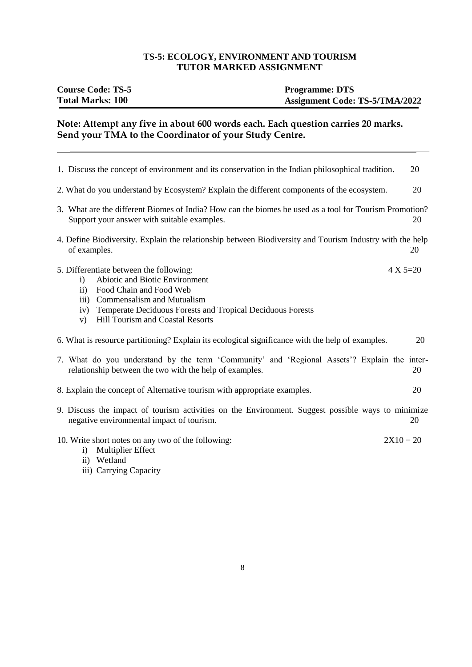## **TS-5: ECOLOGY, ENVIRONMENT AND TOURISM TUTOR MARKED ASSIGNMENT**

| <b>Course Code: TS-5</b> | <b>Programme: DTS</b>                 |
|--------------------------|---------------------------------------|
| <b>Total Marks: 100</b>  | <b>Assignment Code: TS-5/TMA/2022</b> |

#### **Note: Attempt any five in about 600 words each. Each question carries 20 marks. Send your TMA to the Coordinator of your Study Centre.**

| 1. Discuss the concept of environment and its conservation in the Indian philosophical tradition.                                                                                                                                                                          | 20           |
|----------------------------------------------------------------------------------------------------------------------------------------------------------------------------------------------------------------------------------------------------------------------------|--------------|
| 2. What do you understand by Ecosystem? Explain the different components of the ecosystem.                                                                                                                                                                                 | 20           |
| 3. What are the different Biomes of India? How can the biomes be used as a tool for Tourism Promotion?<br>Support your answer with suitable examples.                                                                                                                      | 20           |
| 4. Define Biodiversity. Explain the relationship between Biodiversity and Tourism Industry with the help<br>of examples.                                                                                                                                                   | 20           |
| 5. Differentiate between the following:<br>Abiotic and Biotic Environment<br>i)<br>Food Chain and Food Web<br>$\mathbf{ii}$<br>iii) Commensalism and Mutualism<br>iv) Temperate Deciduous Forests and Tropical Deciduous Forests<br>Hill Tourism and Coastal Resorts<br>V) | $4 X 5 = 20$ |
| 6. What is resource partitioning? Explain its ecological significance with the help of examples.                                                                                                                                                                           | 20           |
| 7. What do you understand by the term 'Community' and 'Regional Assets'? Explain the inter-<br>relationship between the two with the help of examples.                                                                                                                     | 20           |
| 8. Explain the concept of Alternative tourism with appropriate examples.                                                                                                                                                                                                   | 20           |
| 9. Discuss the impact of tourism activities on the Environment. Suggest possible ways to minimize<br>negative environmental impact of tourism.                                                                                                                             | 20           |
| 10. Write short notes on any two of the following:<br><b>Multiplier Effect</b><br>$\ddot{i}$<br>ii) Wetland<br>iii) Carrying Capacity                                                                                                                                      | $2X10 = 20$  |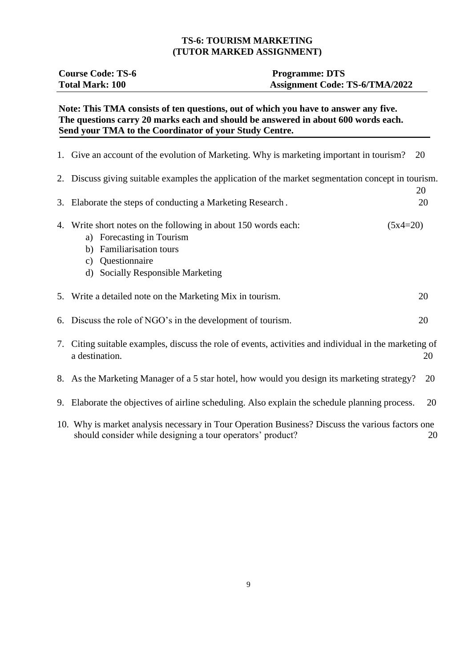#### **TS-6: TOURISM MARKETING (TUTOR MARKED ASSIGNMENT)**

| <b>Course Code: TS-6</b> | <b>Programme: DTS</b>                 |
|--------------------------|---------------------------------------|
| <b>Total Mark: 100</b>   | <b>Assignment Code: TS-6/TMA/2022</b> |

#### **Note: This TMA consists of ten questions, out of which you have to answer any five. The questions carry 20 marks each and should be answered in about 600 words each. Send your TMA to the Coordinator of your Study Centre.**

| 1. Give an account of the evolution of Marketing. Why is marketing important in tourism?                                                                                                                                                                                                                                           | 20 |
|------------------------------------------------------------------------------------------------------------------------------------------------------------------------------------------------------------------------------------------------------------------------------------------------------------------------------------|----|
| 2. Discuss giving suitable examples the application of the market segmentation concept in tourism.                                                                                                                                                                                                                                 | 20 |
| 3. Elaborate the steps of conducting a Marketing Research.                                                                                                                                                                                                                                                                         | 20 |
| 4. Write short notes on the following in about 150 words each:<br>$(5x4=20)$<br>a) Forecasting in Tourism<br><b>Familiarisation tours</b><br>b)<br>c) Questionnaire<br>d) Socially Responsible Marketing                                                                                                                           |    |
| 5. Write a detailed note on the Marketing Mix in tourism.                                                                                                                                                                                                                                                                          | 20 |
| 6. Discuss the role of NGO's in the development of tourism.                                                                                                                                                                                                                                                                        | 20 |
| 7. Citing suitable examples, discuss the role of events, activities and individual in the marketing of<br>a destination.                                                                                                                                                                                                           | 20 |
| 8. As the Marketing Manager of a 5 star hotel, how would you design its marketing strategy?                                                                                                                                                                                                                                        | 20 |
| 9. Elaborate the objectives of airline scheduling. Also explain the schedule planning process.                                                                                                                                                                                                                                     | 20 |
| $\mathbf{10}$ $\mathbf{W}$ $\mathbf{1}$ $\mathbf{1}$ $\mathbf{1}$ $\mathbf{1}$ $\mathbf{1}$ $\mathbf{1}$ $\mathbf{1}$ $\mathbf{1}$ $\mathbf{1}$ $\mathbf{1}$ $\mathbf{1}$ $\mathbf{1}$ $\mathbf{1}$ $\mathbf{1}$ $\mathbf{1}$ $\mathbf{1}$ $\mathbf{1}$ $\mathbf{1}$ $\mathbf{1}$ $\mathbf{1}$ $\mathbf{1}$ $\mathbf{1}$ $\mathbf$ |    |

10. Why is market analysis necessary in Tour Operation Business? Discuss the various factors one should consider while designing a tour operators' product? 20